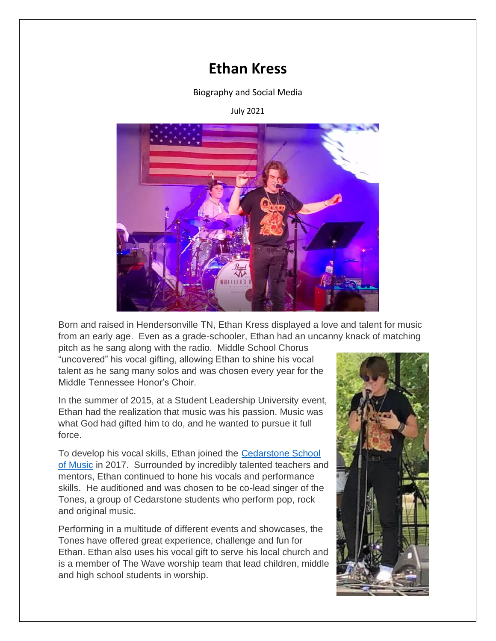## **Ethan Kress**

Biography and Social Media

## July 2021



Born and raised in Hendersonville TN, Ethan Kress displayed a love and talent for music from an early age. Even as a grade-schooler, Ethan had an uncanny knack of matching

pitch as he sang along with the radio. Middle School Chorus "uncovered" his vocal gifting, allowing Ethan to shine his vocal talent as he sang many solos and was chosen every year for the Middle Tennessee Honor's Choir.

In the summer of 2015, at a Student Leadership University event, Ethan had the realization that music was his passion. Music was what God had gifted him to do, and he wanted to pursue it full force.

To develop his vocal skills, Ethan joined the [Cedarstone School](http://cedarstonemusic.com/)  [of Music](http://cedarstonemusic.com/) in 2017. Surrounded by incredibly talented teachers and mentors, Ethan continued to hone his vocals and performance skills. He auditioned and was chosen to be co-lead singer of the Tones, a group of Cedarstone students who perform pop, rock and original music.

Performing in a multitude of different events and showcases, the Tones have offered great experience, challenge and fun for Ethan. Ethan also uses his vocal gift to serve his local church and is a member of The Wave worship team that lead children, middle and high school students in worship.